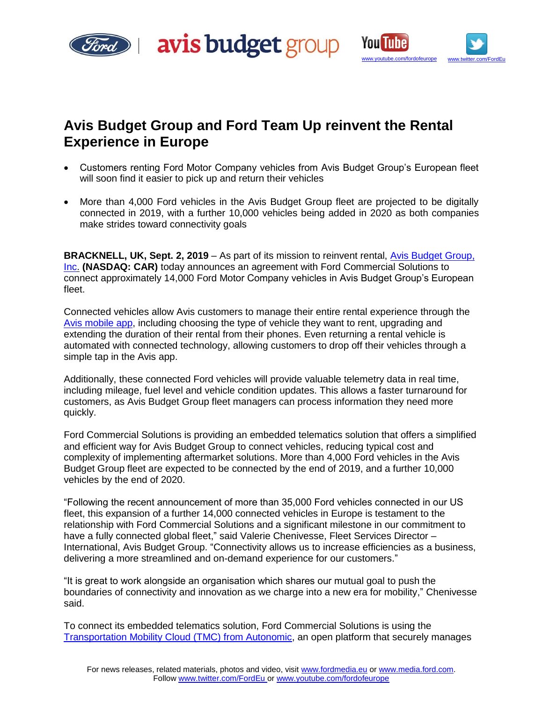





# **Avis Budget Group and Ford Team Up reinvent the Rental Experience in Europe**

- Customers renting Ford Motor Company vehicles from Avis Budget Group's European fleet will soon find it easier to pick up and return their vehicles
- More than 4,000 Ford vehicles in the Avis Budget Group fleet are projected to be digitally connected in 2019, with a further 10,000 vehicles being added in 2020 as both companies make strides toward connectivity goals

**BRACKNELL, UK, Sept. 2, 2019** – As part of its mission to reinvent rental, [Avis Budget Group,](http://www.avisbudgetgroup.com/)  [Inc.](http://www.avisbudgetgroup.com/) **(NASDAQ: CAR)** today announces an agreement with Ford Commercial Solutions to connect approximately 14,000 Ford Motor Company vehicles in Avis Budget Group's European fleet.

Connected vehicles allow Avis customers to manage their entire rental experience through the [Avis mobile app,](https://www.avis.com/en/avis-app) including choosing the type of vehicle they want to rent, upgrading and extending the duration of their rental from their phones. Even returning a rental vehicle is automated with connected technology, allowing customers to drop off their vehicles through a simple tap in the Avis app.

Additionally, these connected Ford vehicles will provide valuable telemetry data in real time, including mileage, fuel level and vehicle condition updates. This allows a faster turnaround for customers, as Avis Budget Group fleet managers can process information they need more quickly.

Ford Commercial Solutions is providing an embedded telematics solution that offers a simplified and efficient way for Avis Budget Group to connect vehicles, reducing typical cost and complexity of implementing aftermarket solutions. More than 4,000 Ford vehicles in the Avis Budget Group fleet are expected to be connected by the end of 2019, and a further 10,000 vehicles by the end of 2020.

"Following the recent announcement of more than 35,000 Ford vehicles connected in our US fleet, this expansion of a further 14,000 connected vehicles in Europe is testament to the relationship with Ford Commercial Solutions and a significant milestone in our commitment to have a fully connected global fleet," said Valerie Chenivesse, Fleet Services Director -International, Avis Budget Group. "Connectivity allows us to increase efficiencies as a business, delivering a more streamlined and on-demand experience for our customers."

"It is great to work alongside an organisation which shares our mutual goal to push the boundaries of connectivity and innovation as we charge into a new era for mobility," Chenivesse said.

To connect its embedded telematics solution, Ford Commercial Solutions is using the [Transportation Mobility Cloud \(TMC\) from Autonomic,](https://autonomic.ai/) an open platform that securely manages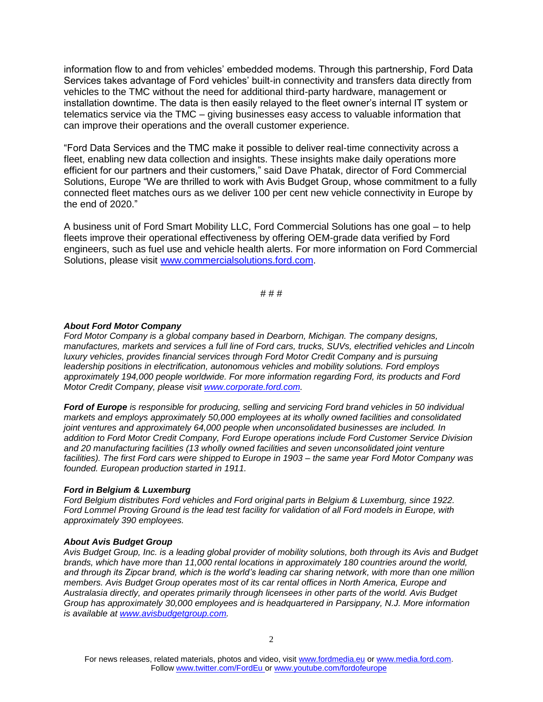information flow to and from vehicles' embedded modems. Through this partnership, Ford Data Services takes advantage of Ford vehicles' built-in connectivity and transfers data directly from vehicles to the TMC without the need for additional third-party hardware, management or installation downtime. The data is then easily relayed to the fleet owner's internal IT system or telematics service via the TMC – giving businesses easy access to valuable information that can improve their operations and the overall customer experience.

"Ford Data Services and the TMC make it possible to deliver real-time connectivity across a fleet, enabling new data collection and insights. These insights make daily operations more efficient for our partners and their customers," said Dave Phatak, director of Ford Commercial Solutions, Europe "We are thrilled to work with Avis Budget Group, whose commitment to a fully connected fleet matches ours as we deliver 100 per cent new vehicle connectivity in Europe by the end of 2020."

A business unit of Ford Smart Mobility LLC, Ford Commercial Solutions has one goal – to help fleets improve their operational effectiveness by offering OEM-grade data verified by Ford engineers, such as fuel use and vehicle health alerts. For more information on Ford Commercial Solutions, please visit [www.commercialsolutions.ford.com.](http://www.commercialsolutions.ford.com./)

# # #

## *About Ford Motor Company*

*Ford Motor Company is a global company based in Dearborn, Michigan. The company designs, manufactures, markets and services a full line of Ford cars, trucks, SUVs, electrified vehicles and Lincoln luxury vehicles, provides financial services through Ford Motor Credit Company and is pursuing leadership positions in electrification, autonomous vehicles and mobility solutions. Ford employs approximately 194,000 people worldwide. For more information regarding Ford, its products and Ford Motor Credit Company, please visit [www.corporate.ford.com.](http://www.corporate.ford.com/)*

*Ford of Europe is responsible for producing, selling and servicing Ford brand vehicles in 50 individual markets and employs approximately 50,000 employees at its wholly owned facilities and consolidated joint ventures and approximately 64,000 people when unconsolidated businesses are included. In addition to Ford Motor Credit Company, Ford Europe operations include Ford Customer Service Division and 20 manufacturing facilities (13 wholly owned facilities and seven unconsolidated joint venture facilities). The first Ford cars were shipped to Europe in 1903 – the same year Ford Motor Company was founded. European production started in 1911.*

### *Ford in Belgium & Luxemburg*

*Ford Belgium distributes Ford vehicles and Ford original parts in Belgium & Luxemburg, since 1922. Ford Lommel Proving Ground is the lead test facility for validation of all Ford models in Europe, with approximately 390 employees.*

### *About Avis Budget Group*

*Avis Budget Group, Inc. is a leading global provider of mobility solutions, both through its Avis and Budget brands, which have more than 11,000 rental locations in approximately 180 countries around the world, and through its Zipcar brand, which is the world's leading car sharing network, with more than one million members. Avis Budget Group operates most of its car rental offices in North America, Europe and Australasia directly, and operates primarily through licensees in other parts of the world. Avis Budget Group has approximately 30,000 employees and is headquartered in Parsippany, N.J. More information is available at [www.avisbudgetgroup.com.](http://www.avisbudgetgroup.com/)*